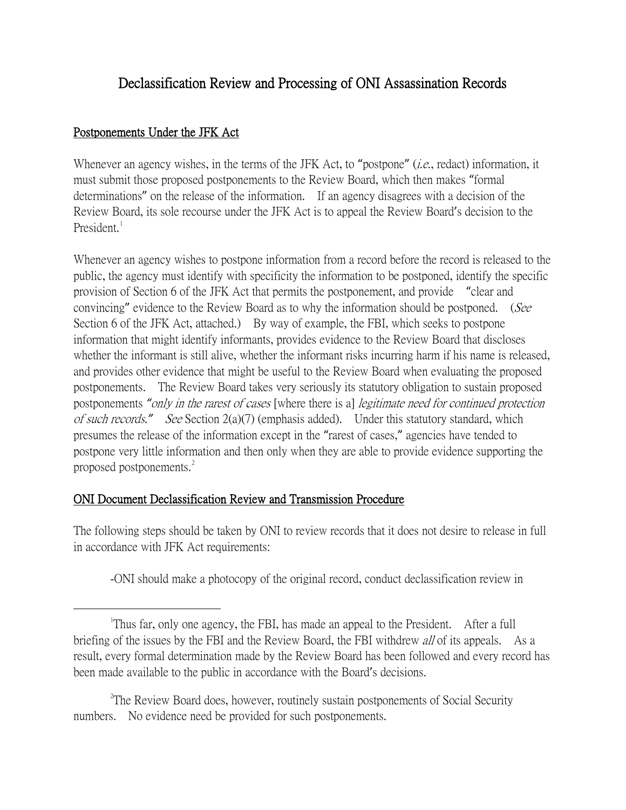## Declassification Review and Processing of ONI Assassination Records

## Postponements Under the JFK Act

Whenever an agency wishes, in the terms of the JFK Act, to "postpone" *(i.e.*, redact) information, it must submit those proposed postponements to the Review Board, which then makes "formal determinations" on the release of the information. If an agency disagrees with a decision of the Review Board, its sole recourse under the JFK Act is to appeal the Review Board's decision to the President.

Whenever an agency wishes to postpone information from a record before the record is released to the public, the agency must identify with specificity the information to be postponed, identify the specific provision of Section 6 of the JFK Act that permits the postponement, and provide "clear and convincing" evidence to the Review Board as to why the information should be postponed. (See Section 6 of the JFK Act, attached.) By way of example, the FBI, which seeks to postpone information that might identify informants, provides evidence to the Review Board that discloses whether the informant is still alive, whether the informant risks incurring harm if his name is released, and provides other evidence that might be useful to the Review Board when evaluating the proposed postponements. The Review Board takes very seriously its statutory obligation to sustain proposed postponements *"*only in the rarest of cases [where there is a] legitimate need for continued protection of such records.*"* See Section 2(a)(7) (emphasis added). Under this statutory standard, which presumes the release of the information except in the "rarest of cases," agencies have tended to postpone very little information and then only when they are able to provide evidence supporting the proposed postponements.<sup>[2](#page-0-1)</sup>

## ONI Document Declassification Review and Transmission Procedure

The following steps should be taken by ONI to review records that it does not desire to release in full in accordance with JFK Act requirements:

-ONI should make a photocopy of the original record, conduct declassification review in

<span id="page-0-1"></span><sup>2</sup>The Review Board does, however, routinely sustain postponements of Social Security numbers. No evidence need be provided for such postponements.

<span id="page-0-0"></span> $\overline{\phantom{a}}$ <sup>1</sup>Thus far, only one agency, the FBI, has made an appeal to the President. After a full briefing of the issues by the FBI and the Review Board, the FBI withdrew *all* of its appeals. As a result, every formal determination made by the Review Board has been followed and every record has been made available to the public in accordance with the Board's decisions.